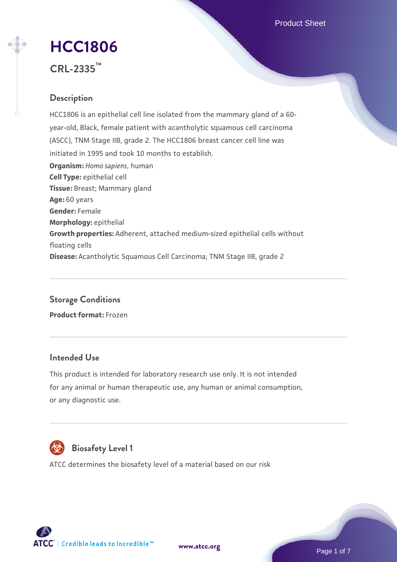Product Sheet

# **[HCC1806](https://www.atcc.org/products/crl-2335)**

**CRL-2335™**

# **Description**

HCC1806 is an epithelial cell line isolated from the mammary gland of a 60 year-old, Black, female patient with acantholytic squamous cell carcinoma (ASCC), TNM Stage IIB, grade 2. The HCC1806 breast cancer cell line was initiated in 1995 and took 10 months to establish. **Organism:** *Homo sapiens*, human **Cell Type:** epithelial cell **Tissue:** Breast; Mammary gland **Age:** 60 years **Gender:** Female **Morphology:** epithelial **Growth properties:** Adherent, attached medium-sized epithelial cells without floating cells **Disease:** Acantholytic Squamous Cell Carcinoma; TNM Stage IIB, grade 2

# **Storage Conditions Product format:** Frozen

# **Intended Use**

This product is intended for laboratory research use only. It is not intended for any animal or human therapeutic use, any human or animal consumption, or any diagnostic use.



# **Biosafety Level 1**

ATCC determines the biosafety level of a material based on our risk



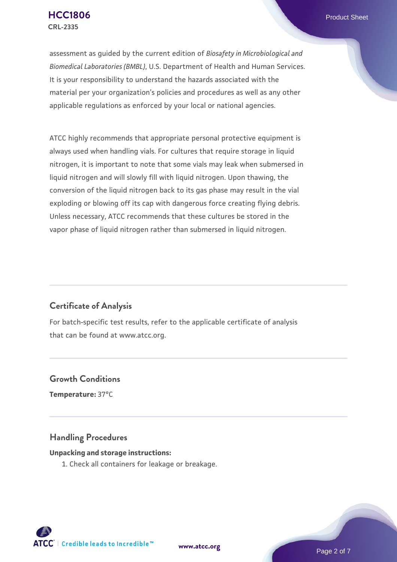assessment as guided by the current edition of *Biosafety in Microbiological and Biomedical Laboratories (BMBL)*, U.S. Department of Health and Human Services. It is your responsibility to understand the hazards associated with the material per your organization's policies and procedures as well as any other applicable regulations as enforced by your local or national agencies.

ATCC highly recommends that appropriate personal protective equipment is always used when handling vials. For cultures that require storage in liquid nitrogen, it is important to note that some vials may leak when submersed in liquid nitrogen and will slowly fill with liquid nitrogen. Upon thawing, the conversion of the liquid nitrogen back to its gas phase may result in the vial exploding or blowing off its cap with dangerous force creating flying debris. Unless necessary, ATCC recommends that these cultures be stored in the vapor phase of liquid nitrogen rather than submersed in liquid nitrogen.

# **Certificate of Analysis**

For batch-specific test results, refer to the applicable certificate of analysis that can be found at www.atcc.org.

### **Growth Conditions**

**Temperature:** 37°C

#### **Handling Procedures**

#### **Unpacking and storage instructions:**

1. Check all containers for leakage or breakage.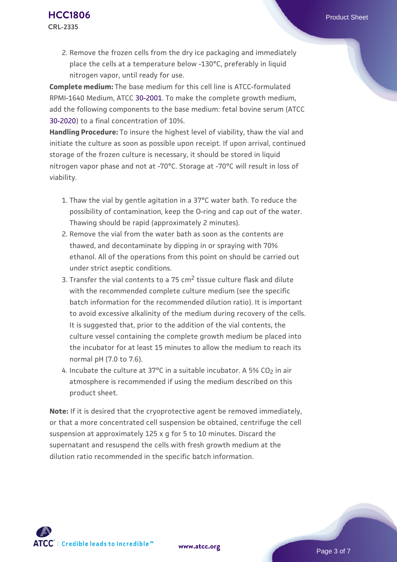**Complete medium:** The base medium for this cell line is ATCC-formulated RPMI-1640 Medium, ATCC [30-2001.](https://www.atcc.org/Products/All/30-2001.aspx) To make the complete growth medium, add the following components to the base medium: fetal bovine serum (ATCC [30-2020\)](https://www.atcc.org/Products/All/30-2020.aspx) to a final concentration of 10%.

**Handling Procedure:** To insure the highest level of viability, thaw the vial and initiate the culture as soon as possible upon receipt. If upon arrival, continued storage of the frozen culture is necessary, it should be stored in liquid nitrogen vapor phase and not at -70°C. Storage at -70°C will result in loss of viability.

- 1. Thaw the vial by gentle agitation in a 37°C water bath. To reduce the  $\,$ possibility of contamination, keep the O-ring and cap out of the water. Thawing should be rapid (approximately 2 minutes).
- 2. Remove the vial from the water bath as soon as the contents are thawed, and decontaminate by dipping in or spraying with 70% ethanol. All of the operations from this point on should be carried out under strict aseptic conditions.
- 3. Transfer the vial contents to a 75 cm<sup>2</sup> tissue culture flask and dilute with the recommended complete culture medium (see the specific batch information for the recommended dilution ratio). It is important to avoid excessive alkalinity of the medium during recovery of the cells. It is suggested that, prior to the addition of the vial contents, the culture vessel containing the complete growth medium be placed into the incubator for at least 15 minutes to allow the medium to reach its normal pH (7.0 to 7.6).
- 4. Incubate the culture at 37°C in a suitable incubator. A 5% CO<sub>2</sub> in air atmosphere is recommended if using the medium described on this product sheet.

**Note:** If it is desired that the cryoprotective agent be removed immediately, or that a more concentrated cell suspension be obtained, centrifuge the cell suspension at approximately 125 x g for 5 to 10 minutes. Discard the supernatant and resuspend the cells with fresh growth medium at the dilution ratio recommended in the specific batch information.

**[www.atcc.org](http://www.atcc.org)**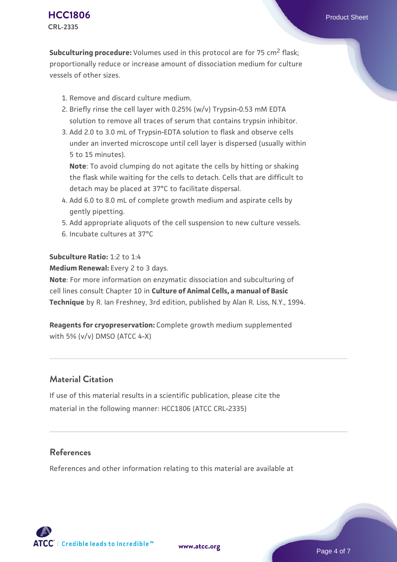**Subculturing procedure:** Volumes used in this protocol are for 75 cm<sup>2</sup> flask: proportionally reduce or increase amount of dissociation medium for culture vessels of other sizes.

- 1. Remove and discard culture medium.
- 2. Briefly rinse the cell layer with 0.25% (w/v) Trypsin-0.53 mM EDTA solution to remove all traces of serum that contains trypsin inhibitor.
- 3. Add 2.0 to 3.0 mL of Trypsin-EDTA solution to flask and observe cells under an inverted microscope until cell layer is dispersed (usually within 5 to 15 minutes).

**Note**: To avoid clumping do not agitate the cells by hitting or shaking the flask while waiting for the cells to detach. Cells that are difficult to detach may be placed at 37°C to facilitate dispersal.

- Add 6.0 to 8.0 mL of complete growth medium and aspirate cells by 4. gently pipetting.
- 5. Add appropriate aliquots of the cell suspension to new culture vessels.
- 6. Incubate cultures at 37°C

#### **Subculture Ratio:** 1:2 to 1:4

**Medium Renewal:** Every 2 to 3 days.

**Note**: For more information on enzymatic dissociation and subculturing of cell lines consult Chapter 10 in **Culture of Animal Cells, a manual of Basic Technique** by R. Ian Freshney, 3rd edition, published by Alan R. Liss, N.Y., 1994.

**Reagents for cryopreservation:** Complete growth medium supplemented with 5% (v/v) DMSO (ATCC 4-X)

# **Material Citation**

If use of this material results in a scientific publication, please cite the material in the following manner: HCC1806 (ATCC CRL-2335)

# **References**

References and other information relating to this material are available at

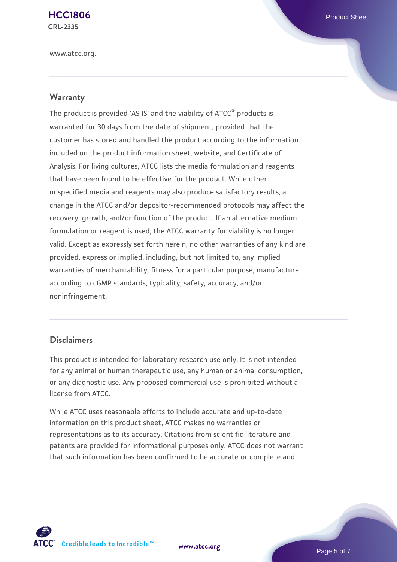**[HCC1806](https://www.atcc.org/products/crl-2335)** Product Sheet **CRL-2335**

www.atcc.org.

#### **Warranty**

The product is provided 'AS IS' and the viability of ATCC® products is warranted for 30 days from the date of shipment, provided that the customer has stored and handled the product according to the information included on the product information sheet, website, and Certificate of Analysis. For living cultures, ATCC lists the media formulation and reagents that have been found to be effective for the product. While other unspecified media and reagents may also produce satisfactory results, a change in the ATCC and/or depositor-recommended protocols may affect the recovery, growth, and/or function of the product. If an alternative medium formulation or reagent is used, the ATCC warranty for viability is no longer valid. Except as expressly set forth herein, no other warranties of any kind are provided, express or implied, including, but not limited to, any implied warranties of merchantability, fitness for a particular purpose, manufacture according to cGMP standards, typicality, safety, accuracy, and/or noninfringement.

#### **Disclaimers**

This product is intended for laboratory research use only. It is not intended for any animal or human therapeutic use, any human or animal consumption, or any diagnostic use. Any proposed commercial use is prohibited without a license from ATCC.

While ATCC uses reasonable efforts to include accurate and up-to-date information on this product sheet, ATCC makes no warranties or representations as to its accuracy. Citations from scientific literature and patents are provided for informational purposes only. ATCC does not warrant that such information has been confirmed to be accurate or complete and



**[www.atcc.org](http://www.atcc.org)**

Page 5 of 7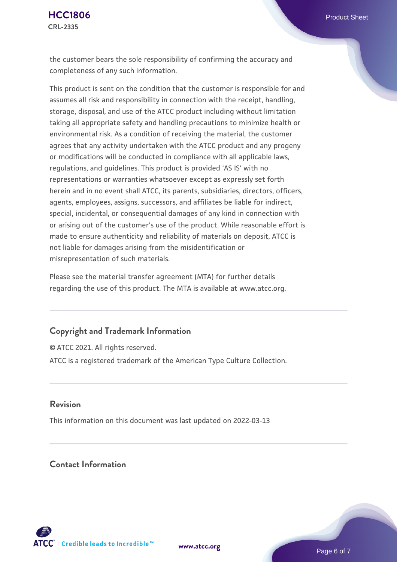the customer bears the sole responsibility of confirming the accuracy and completeness of any such information.

This product is sent on the condition that the customer is responsible for and assumes all risk and responsibility in connection with the receipt, handling, storage, disposal, and use of the ATCC product including without limitation taking all appropriate safety and handling precautions to minimize health or environmental risk. As a condition of receiving the material, the customer agrees that any activity undertaken with the ATCC product and any progeny or modifications will be conducted in compliance with all applicable laws, regulations, and guidelines. This product is provided 'AS IS' with no representations or warranties whatsoever except as expressly set forth herein and in no event shall ATCC, its parents, subsidiaries, directors, officers, agents, employees, assigns, successors, and affiliates be liable for indirect, special, incidental, or consequential damages of any kind in connection with or arising out of the customer's use of the product. While reasonable effort is made to ensure authenticity and reliability of materials on deposit, ATCC is not liable for damages arising from the misidentification or misrepresentation of such materials.

Please see the material transfer agreement (MTA) for further details regarding the use of this product. The MTA is available at www.atcc.org.

#### **Copyright and Trademark Information**

© ATCC 2021. All rights reserved. ATCC is a registered trademark of the American Type Culture Collection.

#### **Revision**

This information on this document was last updated on 2022-03-13

# **Contact Information**